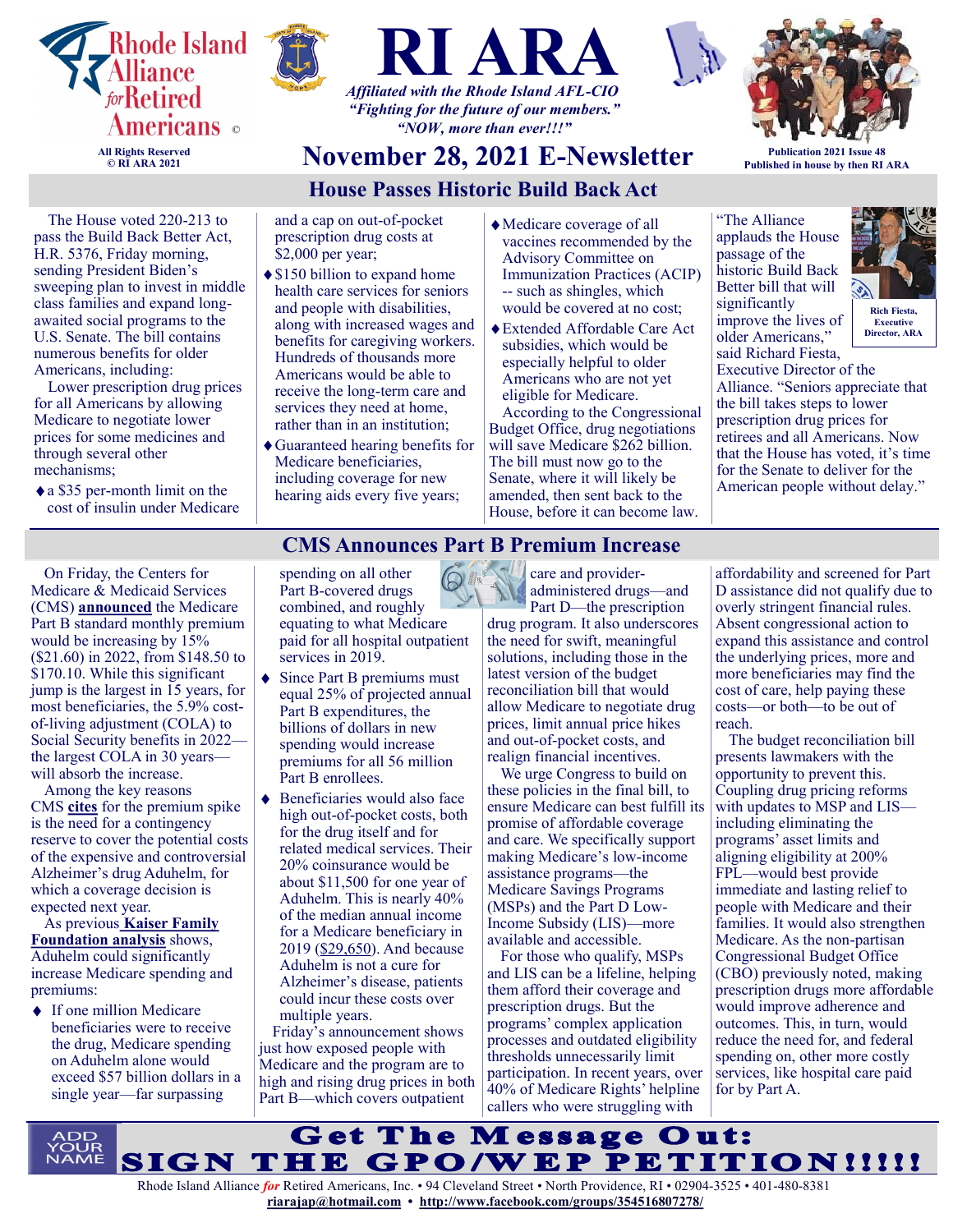





**November 28, 2021 E-Newsletter Publication 2021 Issue 48** 

**House Passes Historic Build Back Act** 

**Published in house by then RI ARA**

The House voted 220-213 to pass the Build Back Better Act, H.R. 5376, Friday morning, sending President Biden's sweeping plan to invest in middle class families and expand longawaited social programs to the U.S. Senate. The bill contains numerous benefits for older Americans, including:

Lower prescription drug prices for all Americans by allowing Medicare to negotiate lower prices for some medicines and through several other mechanisms;

a \$35 per-month limit on the cost of insulin under Medicare and a cap on out-of-pocket prescription drug costs at \$2,000 per year;

- ◆ \$150 billion to expand home health care services for seniors and people with disabilities, along with increased wages and benefits for caregiving workers. Hundreds of thousands more Americans would be able to receive the long-term care and services they need at home, rather than in an institution;
- Guaranteed hearing benefits for Medicare beneficiaries, including coverage for new hearing aids every five years;
- Medicare coverage of all vaccines recommended by the Advisory Committee on Immunization Practices (ACIP) -- such as shingles, which would be covered at no cost;
- Extended Affordable Care Act subsidies, which would be especially helpful to older Americans who are not yet eligible for Medicare.

According to the Congressional Budget Office, drug negotiations will save Medicare \$262 billion. The bill must now go to the Senate, where it will likely be amended, then sent back to the House, before it can become law.

"The Alliance applauds the House passage of the historic Build Back Better bill that will significantly improve the lives of older Americans," said Richard Fiesta,



**Executive Director, ARA**

Executive Director of the Alliance. "Seniors appreciate that the bill takes steps to lower prescription drug prices for retirees and all Americans. Now that the House has voted, it's time for the Senate to deliver for the American people without delay."

# **CMS Announces Part B Premium Increase**

On Friday, the Centers for Medicare & Medicaid Services (CMS) **[announced](https://www.cms.gov/newsroom/press-releases/cms-announces-2022-medicare-part-b-premiums)** the Medicare Part B standard monthly premium would be increasing by 15% (\$21.60) in 2022, from \$148.50 to \$170.10. While this significant jump is the largest in 15 years, for most beneficiaries, the 5.9% costof-living adjustment (COLA) to Social Security benefits in 2022 the largest COLA in 30 years will absorb the increase.

Among the key reasons CMS **[cites](https://www.cms.gov/newsroom/fact-sheets/2022-medicare-parts-b-premiums-and-deductibles2022-medicare-part-d-income-related-monthly-adjustment)** for the premium spike is the need for a contingency reserve to cover the potential costs of the expensive and controversial Alzheimer's drug Aduhelm, for which a coverage decision is expected next year.

As previous **[Kaiser Family](https://www.kff.org/medicare/issue-brief/fdas-approval-of-biogens-new-alzheimers-drug-has-huge-cost-implications-for-medicare-and-beneficiaries/)  [Foundation analysis](https://www.kff.org/medicare/issue-brief/fdas-approval-of-biogens-new-alzheimers-drug-has-huge-cost-implications-for-medicare-and-beneficiaries/)** shows, Aduhelm could significantly increase Medicare spending and premiums:

If one million Medicare beneficiaries were to receive the drug, Medicare spending on Aduhelm alone would exceed \$57 billion dollars in a single year—far surpassing

 $\bigcirc$   $\mathbb{R}^*$ spending on all other Part B-covered drugs combined, and roughly equating to what Medicare paid for all hospital outpatient services in 2019.

- ◆ Since Part B premiums must equal 25% of projected annual Part B expenditures, the billions of dollars in new spending would increase premiums for all 56 million Part B enrollees.
- ◆ Beneficiaries would also face high out-of-pocket costs, both for the drug itself and for related medical services. Their 20% coinsurance would be about \$11,500 for one year of Aduhelm. This is nearly 40% of the median annual income for a Medicare beneficiary in 2019 ([\\$29,650\).](https://www.kff.org/medicare/issue-brief/medicare-beneficiaries-financial-security-before-the-coronavirus-pandemic/) And because Aduhelm is not a cure for Alzheimer's disease, patients could incur these costs over multiple years.

Friday's announcement shows just how exposed people with Medicare and the program are to high and rising drug prices in both Part B—which covers outpatient

care and provideradministered drugs—and Part D—the prescription drug program. It also underscores the need for swift, meaningful solutions, including those in the latest version of the budget reconciliation bill that would allow Medicare to negotiate drug prices, limit annual price hikes and out-of-pocket costs, and realign financial incentives.

We urge Congress to build on these policies in the final bill, to ensure Medicare can best fulfill its promise of affordable coverage and care. We specifically support making Medicare's low-income assistance programs—the Medicare Savings Programs (MSPs) and the Part D Low-Income Subsidy (LIS)—more available and accessible.

For those who qualify, MSPs and LIS can be a lifeline, helping them afford their coverage and prescription drugs. But the programs' complex application processes and outdated eligibility thresholds unnecessarily limit participation. In recent years, over 40% of Medicare Rights' helpline callers who were struggling with

affordability and screened for Part D assistance did not qualify due to overly stringent financial rules. Absent congressional action to expand this assistance and control the underlying prices, more and more beneficiaries may find the cost of care, help paying these costs—or both—to be out of reach.

The budget reconciliation bill presents lawmakers with the opportunity to prevent this. Coupling drug pricing reforms with updates to MSP and LIS including eliminating the programs' asset limits and aligning eligibility at 200% FPL—would best provide immediate and lasting relief to people with Medicare and their families. It would also strengthen Medicare. As the non-partisan Congressional Budget Office (CBO) previously noted, making prescription drugs more affordable would improve adherence and outcomes. This, in turn, would reduce the need for, and federal spending on, other more costly services, like hospital care paid for by Part A.

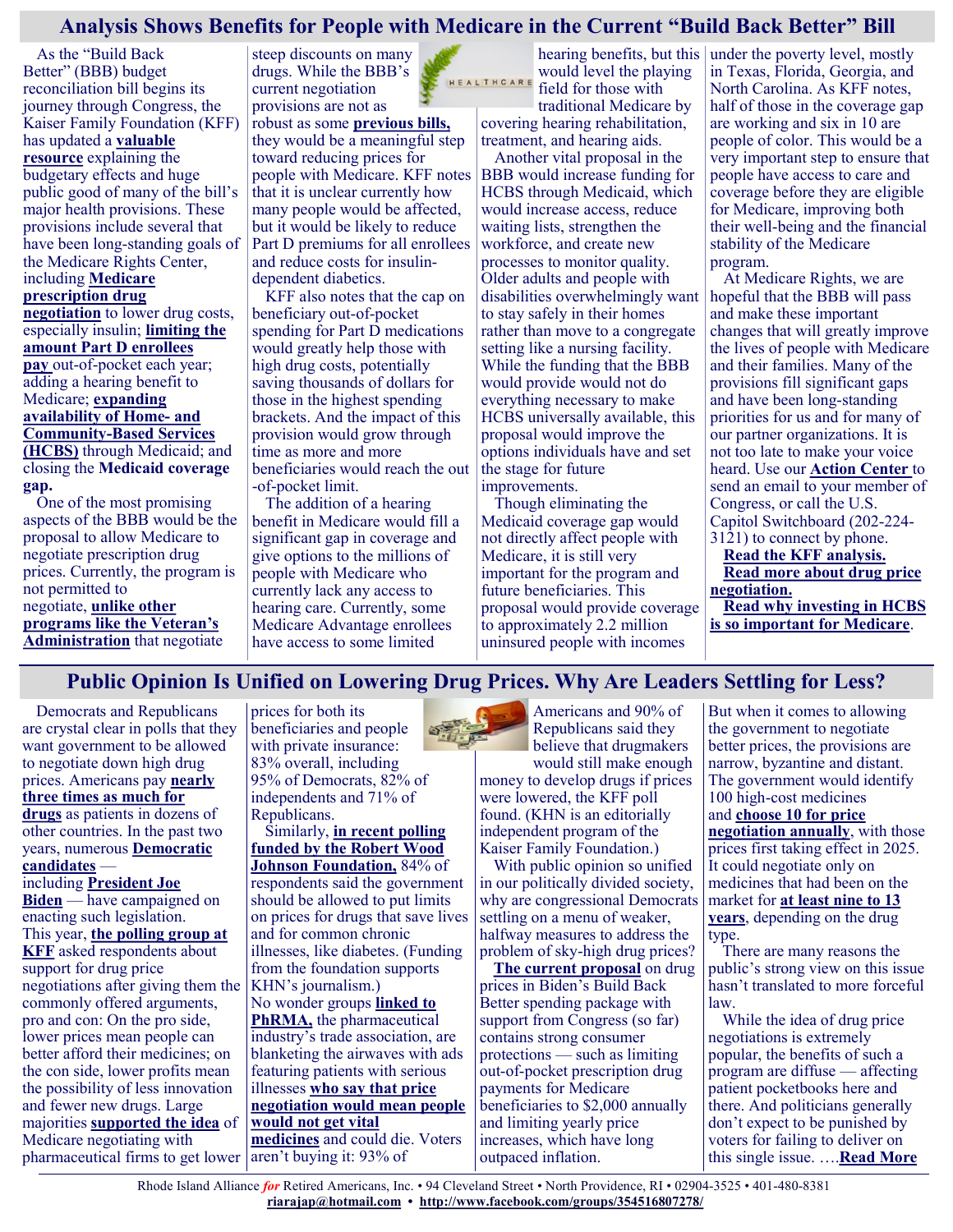# **Analysis Shows Benefits for People with Medicare in the Current "Build Back Better" Bill**

As the "Build Back Better" (BBB) budget reconciliation bill begins its journey through Congress, the Kaiser Family Foundation (KFF) has updated a **[valuable](https://www.kff.org/health-reform/issue-brief/potential-costs-and-impact-of-health-provisions-in-the-build-back-better-act/)  [resource](https://www.kff.org/health-reform/issue-brief/potential-costs-and-impact-of-health-provisions-in-the-build-back-better-act/)** explaining the budgetary effects and huge public good of many of the bill's major health provisions. These provisions include several that have been long-standing goals of the Medicare Rights Center, including **[Medicare](https://www.medicarerights.org/medicare-watch/2021/11/04/prescription-drug-cost-reform-is-a-welcome-addition-to-the-build-back-better-budget-bill)** 

### **[prescription drug](https://www.medicarerights.org/medicare-watch/2021/11/04/prescription-drug-cost-reform-is-a-welcome-addition-to-the-build-back-better-budget-bill)**

**[negotiation](https://www.medicarerights.org/medicare-watch/2021/11/04/prescription-drug-cost-reform-is-a-welcome-addition-to-the-build-back-better-budget-bill)** to lower drug costs, especially insulin; **[limiting the](https://www.medicarerights.org/medicare-watch/2021/09/16/as-congress-weighs-legislation-new-report-examines-how-caps-on-part-d-spending-would-affect-people-with-medicare)  [amount Part D enrollees](https://www.medicarerights.org/medicare-watch/2021/09/16/as-congress-weighs-legislation-new-report-examines-how-caps-on-part-d-spending-would-affect-people-with-medicare)  [pay](https://www.medicarerights.org/medicare-watch/2021/09/16/as-congress-weighs-legislation-new-report-examines-how-caps-on-part-d-spending-would-affect-people-with-medicare)** out-of-pocket each year; adding a hearing benefit to Medicare; **[expanding](https://www.medicarerights.org/medicare-watch/2021/09/30/investing-in-medicaid-hcbs-is-good-for-medicare)  [availability of Home](https://www.medicarerights.org/medicare-watch/2021/09/30/investing-in-medicaid-hcbs-is-good-for-medicare)- and Community-[Based Services](https://www.medicarerights.org/medicare-watch/2021/09/30/investing-in-medicaid-hcbs-is-good-for-medicare)  [\(HCBS\)](https://www.medicarerights.org/medicare-watch/2021/09/30/investing-in-medicaid-hcbs-is-good-for-medicare)** through Medicaid; and closing the **[Medicaid coverage](https://www.medicarerights.org/medicare-watch/2021/07/22/staggering-medical-debt-demonstrates-more-need-to-expand-medicaid)  [gap.](https://www.medicarerights.org/medicare-watch/2021/07/22/staggering-medical-debt-demonstrates-more-need-to-expand-medicaid)**

One of the most promising aspects of the BBB would be the proposal to allow Medicare to negotiate prescription drug prices. Currently, the program is not permitted to negotiate, **[unlike other](https://news.bloomberglaw.com/health-law-and-business/push-to-negotiate-medicare-drug-prices-prompts-look-at-va-model)  [programs like the Veteran's](https://news.bloomberglaw.com/health-law-and-business/push-to-negotiate-medicare-drug-prices-prompts-look-at-va-model)  [Administration](https://news.bloomberglaw.com/health-law-and-business/push-to-negotiate-medicare-drug-prices-prompts-look-at-va-model)** that negotiate

steep discounts on many drugs. While the BBB's current negotiation provisions are not as

robust as some **[previous bills,](https://www.medicarerights.org/medicare-watch/2021/05/06/medicare-rights-endorses-elijah-e-cummings-lower-drug-costs-now-act)** they would be a meaningful step toward reducing prices for people with Medicare. KFF notes that it is unclear currently how many people would be affected, but it would be likely to reduce Part D premiums for all enrollees and reduce costs for insulindependent diabetics.

KFF also notes that the cap on beneficiary out-of-pocket spending for Part D medications would greatly help those with high drug costs, potentially saving thousands of dollars for those in the highest spending brackets. And the impact of this provision would grow through time as more and more beneficiaries would reach the out -of-pocket limit.

The addition of a hearing benefit in Medicare would fill a significant gap in coverage and give options to the millions of people with Medicare who currently lack any access to hearing care. Currently, some Medicare Advantage enrollees have access to some limited

hearing benefits, but this would level the playing HEALTHCARE field for those with

traditional Medicare by covering hearing rehabilitation, treatment, and hearing aids.

Another vital proposal in the BBB would increase funding for HCBS through Medicaid, which would increase access, reduce waiting lists, strengthen the workforce, and create new processes to monitor quality. Older adults and people with disabilities overwhelmingly want to stay safely in their homes rather than move to a congregate setting like a nursing facility. While the funding that the BBB would provide would not do everything necessary to make HCBS universally available, this proposal would improve the options individuals have and set the stage for future improvements.

Though eliminating the Medicaid coverage gap would not directly affect people with Medicare, it is still very important for the program and future beneficiaries. This proposal would provide coverage to approximately 2.2 million uninsured people with incomes

under the poverty level, mostly in Texas, Florida, Georgia, and North Carolina. As KFF notes, half of those in the coverage gap are working and six in 10 are people of color. This would be a very important step to ensure that people have access to care and coverage before they are eligible for Medicare, improving both their well-being and the financial stability of the Medicare program.

At Medicare Rights, we are hopeful that the BBB will pass and make these important changes that will greatly improve the lives of people with Medicare and their families. Many of the provisions fill significant gaps and have been long-standing priorities for us and for many of our partner organizations. It is not too late to make your voice heard. Use our **[Action Center](https://actionnetwork.org/letters/action-alert-tell-congress-to-prioritize-people-with-medicare)** to send an email to your member of Congress, or call the U.S. Capitol Switchboard (202-224- 3121) to connect by phone.

**[Read the KFF analysis.](https://www.kff.org/health-reform/issue-brief/potential-costs-and-impact-of-health-provisions-in-the-build-back-better-act/) [Read more about drug price](https://www.medicarerights.org/medicare-watch/2021/11/04/prescription-drug-cost-reform-is-a-welcome-addition-to-the-build-back-better-budget-bill)  [negotiation.](https://www.medicarerights.org/medicare-watch/2021/11/04/prescription-drug-cost-reform-is-a-welcome-addition-to-the-build-back-better-budget-bill) [Read why investing in HCBS](https://www.medicarerights.org/medicare-watch/2021/09/30/investing-in-medicaid-hcbs-is-good-for-medicare)** 

**[is so important for Medicare](https://www.medicarerights.org/medicare-watch/2021/09/30/investing-in-medicaid-hcbs-is-good-for-medicare)**.

# **Public Opinion Is Unified on Lowering Drug Prices. Why Are Leaders Settling for Less?**

Democrats and Republicans are crystal clear in polls that they want government to be allowed to negotiate down high drug prices. Americans pay **[nearly](https://www.usnews.com/news/health-news/articles/2021-01-29/compared-to-other-countries-americans-pay-much-more-for-prescription-drugs)  [three times as much for](https://www.usnews.com/news/health-news/articles/2021-01-29/compared-to-other-countries-americans-pay-much-more-for-prescription-drugs)  [drugs](https://www.usnews.com/news/health-news/articles/2021-01-29/compared-to-other-countries-americans-pay-much-more-for-prescription-drugs)** as patients in dozens of other countries. In the past two years, numerous **[Democratic](https://www.healthaffairs.org/do/10.1377/hblog20190826.689286/full/)  [candidates](https://www.healthaffairs.org/do/10.1377/hblog20190826.689286/full/)** including **[President Joe](https://joebiden.com/healthcare/)  [Biden](https://joebiden.com/healthcare/)** — have campaigned on enacting such legislation. This year, **[the polling group at](https://www.kff.org/health-costs/poll-finding/public-weighs-in-on-medicare-drug-negotiations/)  [KFF](https://www.kff.org/health-costs/poll-finding/public-weighs-in-on-medicare-drug-negotiations/)** asked respondents about support for drug price negotiations after giving them the commonly offered arguments, pro and con: On the pro side, lower prices mean people can better afford their medicines; on the con side, lower profits mean the possibility of less innovation and fewer new drugs. Large majorities **[supported the idea](https://www.kff.org/health-costs/poll-finding/public-weighs-in-on-medicare-drug-negotiations/)** of Medicare negotiating with

pharmaceutical firms to get lower

prices for both its beneficiaries and people with private insurance: 83% overall, including 95% of Democrats, 82% of independents and 71% of Republicans.

### Similarly, **[in recent polling](https://www.rwjf.org/en/library/research/2021/11/healthcare-affordability--majority-of-adults-support-significant-changes-to-the-health-system.html)  [funded by the Robert Wood](https://www.rwjf.org/en/library/research/2021/11/healthcare-affordability--majority-of-adults-support-significant-changes-to-the-health-system.html)  [Johnson Foundation,](https://www.rwjf.org/en/library/research/2021/11/healthcare-affordability--majority-of-adults-support-significant-changes-to-the-health-system.html)** 84% of respondents said the government should be allowed to put limits on prices for drugs that save lives and for common chronic illnesses, like diabetes. (Funding from the foundation supports KHN's journalism.) No wonder groups **[linked to](https://www.rollcall.com/2021/09/30/nonprofit-linked-to-phrma-behind-ads-opposing-drug-pricing-changes/)  [PhRMA,](https://www.rollcall.com/2021/09/30/nonprofit-linked-to-phrma-behind-ads-opposing-drug-pricing-changes/)** the pharmaceutical industry's trade association, are blanketing the airwaves with ads featuring patients with serious illnesses **[who say that price](https://khn.org/news/article/an-ads-charge-that-price-haggling-would-swipe-500-billion-from-medicare-is-incorrect/)  [negotiation would mean people](https://khn.org/news/article/an-ads-charge-that-price-haggling-would-swipe-500-billion-from-medicare-is-incorrect/) [would not get vital](https://khn.org/news/article/an-ads-charge-that-price-haggling-would-swipe-500-billion-from-medicare-is-incorrect/)  [medicines](https://khn.org/news/article/an-ads-charge-that-price-haggling-would-swipe-500-billion-from-medicare-is-incorrect/)** and could die. Voters aren't buying it: 93% of



Americans and 90% of Republicans said they believe that drugmakers would still make enough

money to develop drugs if prices were lowered, the KFF poll found. (KHN is an editorially independent program of the Kaiser Family Foundation.)

With public opinion so unified in our politically divided society, why are congressional Democrats settling on a menu of weaker, halfway measures to address the problem of sky-high drug prices?

**[The current proposal](https://khn.org/news/article/despite-restraints-democrats-drug-pricing-plan-could-still-aid-consumers/)** on drug prices in Biden's Build Back Better spending package with support from Congress (so far) contains strong consumer protections — such as limiting out-of-pocket prescription drug payments for Medicare beneficiaries to \$2,000 annually and limiting yearly price increases, which have long outpaced inflation.

But when it comes to allowing the government to negotiate better prices, the provisions are narrow, byzantine and distant. The government would identify 100 high-cost medicines and **[choose 10 for price](https://www.whitehouse.gov/briefing-room/statements-releases/2021/11/02/president-biden-announces-prescription-drug-pricing-plan-in-build-back-better-framework/)  negotiation annually**, with those prices first taking effect in 2025. It could negotiate only on medicines that had been on the market for **[at least nine to 13](https://endpts.com/dems-100b-deal-reduced-further-medicare-drug-price-negotiations-pushed-to-13-years-for-biologics/)  [years](https://endpts.com/dems-100b-deal-reduced-further-medicare-drug-price-negotiations-pushed-to-13-years-for-biologics/)**, depending on the drug type.

There are many reasons the public's strong view on this issue hasn't translated to more forceful law.

While the idea of drug price negotiations is extremely popular, the benefits of such a program are diffuse — affecting patient pocketbooks here and there. And politicians generally don't expect to be punished by voters for failing to deliver on this single issue. ….**[Read More](https://khn.org/news/article/public-opinion-prescription-drug-prices-democratic-plan/)**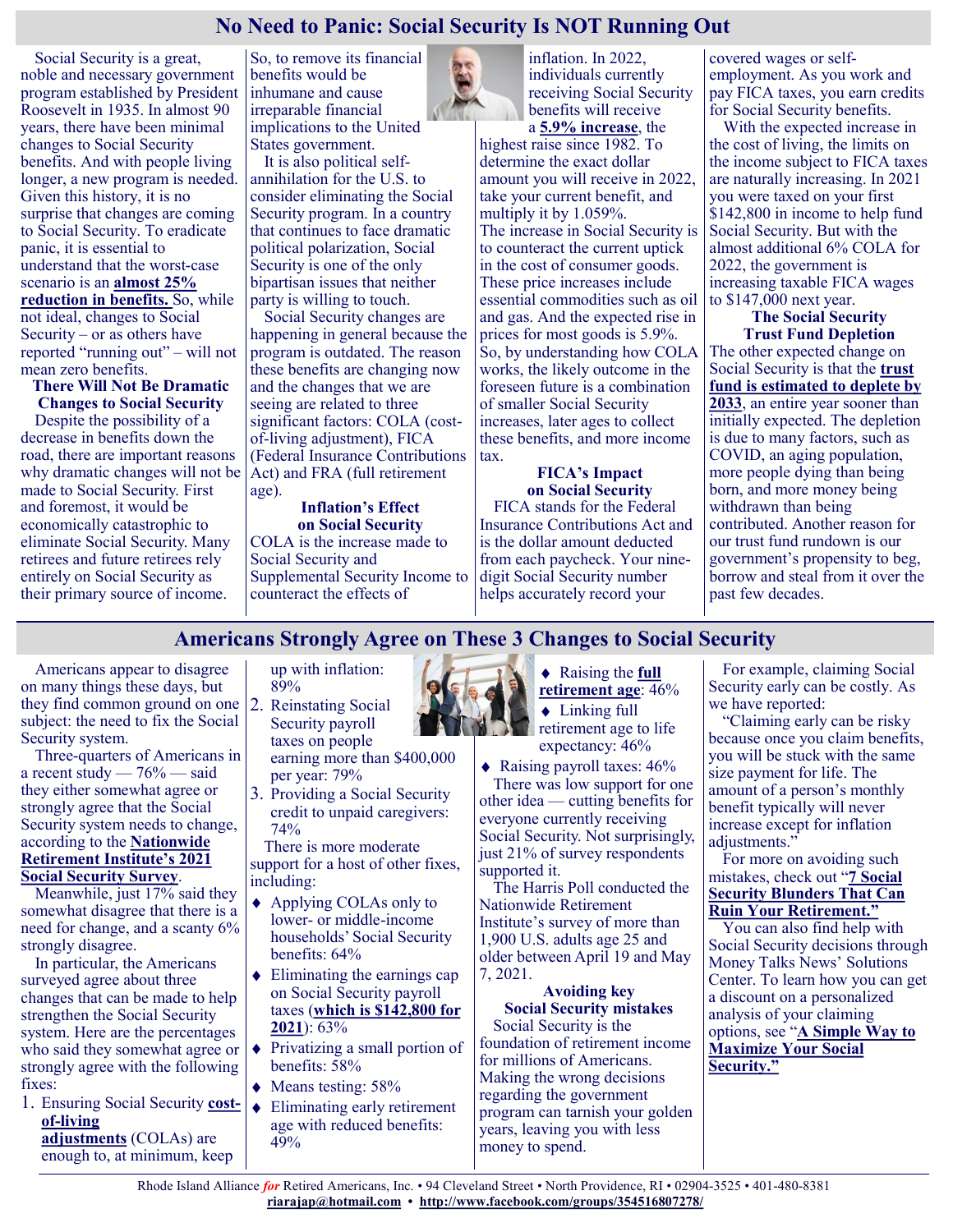# **No Need to Panic: Social Security Is NOT Running Out**

Social Security is a great, noble and necessary government program established by President Roosevelt in 1935. In almost 90 years, there have been minimal changes to Social Security benefits. And with people living longer, a new program is needed. Given this history, it is no surprise that changes are coming to Social Security. To eradicate panic, it is essential to understand that the worst-case scenario is an **[almost 25%](https://www.kiplinger.com/retirement/social-security/603386/social-security-reserves-to-be-depleted-earlier-than-previously-expected)  [reduction in benefits.](https://www.kiplinger.com/retirement/social-security/603386/social-security-reserves-to-be-depleted-earlier-than-previously-expected)** So, while not ideal, changes to Social Security – or as others have reported "running out" – will not mean zero benefits.

### **There Will Not Be Dramatic Changes to Social Security**

Despite the possibility of a decrease in benefits down the road, there are important reasons why dramatic changes will not be made to Social Security. First and foremost, it would be economically catastrophic to eliminate Social Security. Many retirees and future retirees rely entirely on Social Security as their primary source of income.

So, to remove its financial benefits would be inhumane and cause irreparable financial implications to the United States government.

It is also political selfannihilation for the U.S. to consider eliminating the Social Security program. In a country that continues to face dramatic political polarization, Social Security is one of the only bipartisan issues that neither party is willing to touch.

Social Security changes are happening in general because the program is outdated. The reason these benefits are changing now and the changes that we are seeing are related to three significant factors: COLA (costof-living adjustment), FICA (Federal Insurance Contributions Act) and FRA (full retirement age).

### **Inflation's Effect on Social Security**

COLA is the increase made to Social Security and Supplemental Security Income to counteract the effects of



highest raise since 1982. To determine the exact dollar amount you will receive in 2022, take your current benefit, and multiply it by 1.059%. The increase in Social Security is to counteract the current uptick in the cost of consumer goods. These price increases include essential commodities such as oil and gas. And the expected rise in prices for most goods is 5.9%. So, by understanding how COLA works, the likely outcome in the foreseen future is a combination of smaller Social Security increases, later ages to collect these benefits, and more income tax.

#### **FICA's Impact on Social Security**

FICA stands for the Federal Insurance Contributions Act and is the dollar amount deducted from each paycheck. Your ninedigit Social Security number helps accurately record your

covered wages or selfemployment. As you work and pay FICA taxes, you earn credits for Social Security benefits.

With the expected increase in the cost of living, the limits on the income subject to FICA taxes are naturally increasing. In 2021 you were taxed on your first \$142,800 in income to help fund Social Security. But with the almost additional 6% COLA for 2022, the government is increasing taxable FICA wages to \$147,000 next year.

### **The Social Security Trust Fund Depletion**

The other expected change on Social Security is that the **[trust](https://www.kiplinger.com/retirement/social-security/603386/social-security-reserves-to-be-depleted-earlier-than-previously-expected)  [fund is estimated to deplete by](https://www.kiplinger.com/retirement/social-security/603386/social-security-reserves-to-be-depleted-earlier-than-previously-expected)  [2033](https://www.kiplinger.com/retirement/social-security/603386/social-security-reserves-to-be-depleted-earlier-than-previously-expected)**, an entire year sooner than initially expected. The depletion is due to many factors, such as COVID, an aging population, more people dying than being born, and more money being withdrawn than being contributed. Another reason for our trust fund rundown is our government's propensity to beg, borrow and steal from it over the past few decades.

# **Americans Strongly Agree on These 3 Changes to Social Security**

Americans appear to disagree on many things these days, but they find common ground on one subject: the need to fix the Social Security system.

Three-quarters of Americans in a recent study  $-76%$  — said they either somewhat agree or strongly agree that the Social Security system needs to change, according to the **[Nationwide](https://nationwidefinancial.com/media/pdf/NFM-20936AO.pdf)  [Retirement Institute's 2021](https://nationwidefinancial.com/media/pdf/NFM-20936AO.pdf)  [Social Security Survey](https://nationwidefinancial.com/media/pdf/NFM-20936AO.pdf)**.

Meanwhile, just 17% said they somewhat disagree that there is a need for change, and a scanty 6% strongly disagree.

In particular, the Americans surveyed agree about three changes that can be made to help strengthen the Social Security system. Here are the percentages who said they somewhat agree or strongly agree with the following fixes:

1. Ensuring Social Security **[cost](https://www.moneytalksnews.com/social-security-terms/#6-cost-of-living-adjustment-cola)of-[living](https://www.moneytalksnews.com/social-security-terms/#6-cost-of-living-adjustment-cola)  [adjustments](https://www.moneytalksnews.com/social-security-terms/#6-cost-of-living-adjustment-cola)** (COLAs) are enough to, at minimum, keep

up with inflation: 89%

- 2. Reinstating Social Security payroll taxes on people earning more than \$400,000 per year: 79%
- 3. Providing a Social Security credit to unpaid caregivers: 74%

There is more moderate support for a host of other fixes, including:

- ◆ Applying COLAs only to lower- or middle-income households' Social Security benefits: 64%
- Eliminating the earnings cap on Social Security payroll taxes (**[which is \\$142,800 for](https://www.moneytalksnews.com/3-ways-social-security-will-change-in-2019/)  [2021](https://www.moneytalksnews.com/3-ways-social-security-will-change-in-2019/)**): 63%
- Privatizing a small portion of benefits: 58%
- Means testing: 58%
- Eliminating early retirement age with reduced benefits: 49%



Raising the **[full](https://www.moneytalksnews.com/social-security-terms/)  [retirement age](https://www.moneytalksnews.com/social-security-terms/)**: 46%

◆ Linking full retirement age to life expectancy: 46%

 $\triangleleft$  Raising payroll taxes: 46%

There was low support for one other idea — cutting benefits for everyone currently receiving Social Security. Not surprisingly, just 21% of survey respondents supported it.

The Harris Poll conducted the Nationwide Retirement Institute's survey of more than 1,900 U.S. adults age 25 and older between April 19 and May 7, 2021.

### **Avoiding key Social Security mistakes**

Social Security is the foundation of retirement income for millions of Americans. Making the wrong decisions regarding the government program can tarnish your golden years, leaving you with less money to spend.

For example, claiming Social Security early can be costly. As we have reported:

"Claiming early can be risky because once you claim benefits, you will be stuck with the same size payment for life. The amount of a person's monthly benefit typically will never increase except for inflation adjustments."

For more on avoiding such mistakes, check out "**[7 Social](https://www.moneytalksnews.com/social-security-blunders-that-can-ruin-your-retirement/)  [Security Blunders That Can](https://www.moneytalksnews.com/social-security-blunders-that-can-ruin-your-retirement/)  [Ruin Your Retirement."](https://www.moneytalksnews.com/social-security-blunders-that-can-ruin-your-retirement/)**

You can also find help with Social Security decisions through Money Talks News' Solutions Center. To learn how you can get a discount on a personalized analysis of your claiming options, see "**[A Simple Way to](https://www.moneytalksnews.com/solutions/social-security/)  [Maximize Your Social](https://www.moneytalksnews.com/solutions/social-security/)  [Security.](https://www.moneytalksnews.com/solutions/social-security/)"**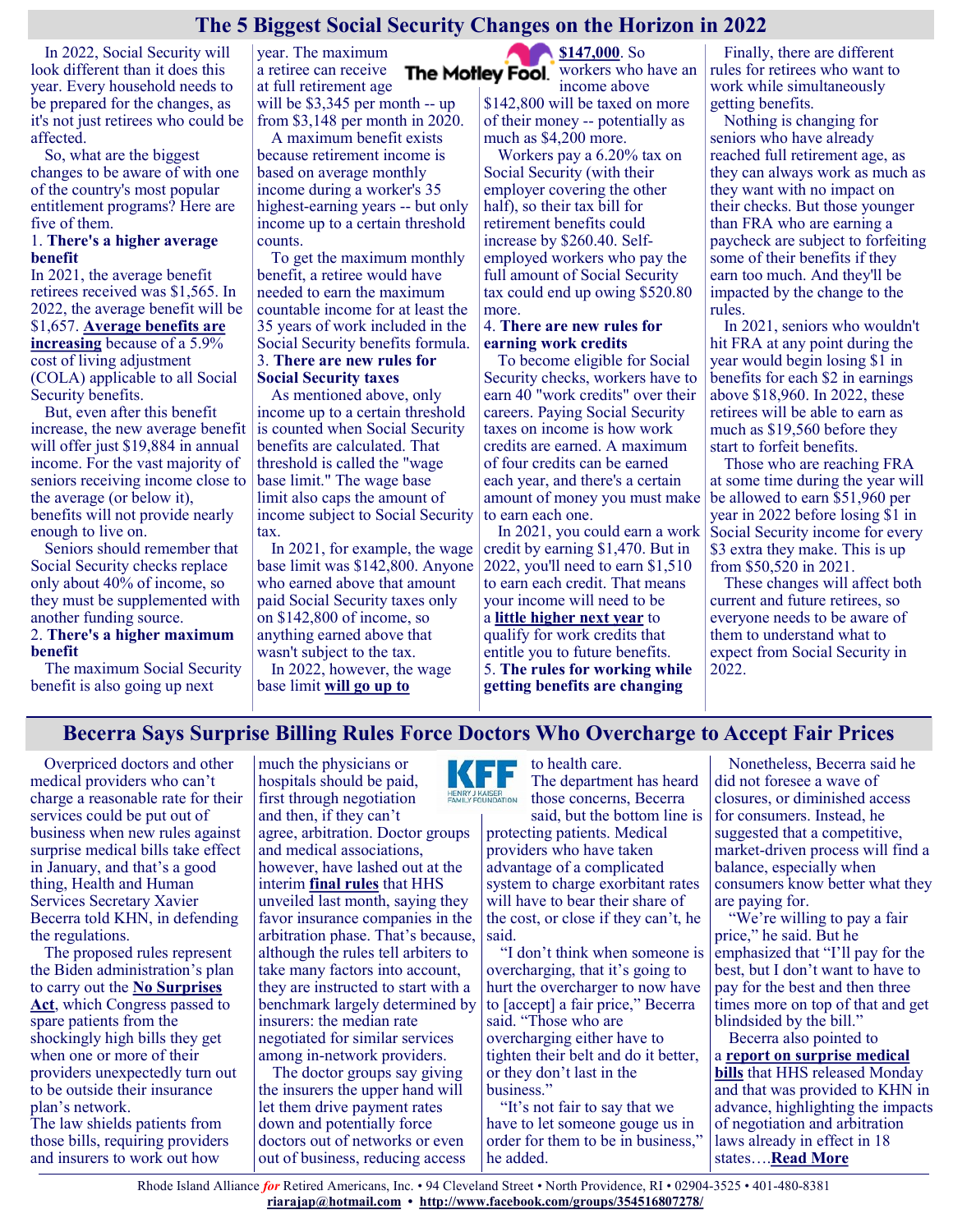# **The 5 Biggest Social Security Changes on the Horizon in 2022**

In 2022, Social Security will look different than it does this year. Every household needs to be prepared for the changes, as it's not just retirees who could be affected.

So, what are the biggest changes to be aware of with one of the country's most popular entitlement programs? Here are five of them.

### 1. **There's a higher average benefit**

In 2021, the average benefit retirees received was \$1,565. In 2022, the average benefit will be \$1,657. **[Average benefits are](https://www.fool.com/investing/2021/10/27/your-social-security-benefits-vs-2022-average/?utm_source=msnrss&utm_medium=feed&utm_campaign=article&referring_guid=5d87ca09-ccc3-46f3-a2f6-ade297c647cf)  [increasing](https://www.fool.com/investing/2021/10/27/your-social-security-benefits-vs-2022-average/?utm_source=msnrss&utm_medium=feed&utm_campaign=article&referring_guid=5d87ca09-ccc3-46f3-a2f6-ade297c647cf)** because of a 5.9% cost of living adjustment (COLA) applicable to all Social Security benefits.

But, even after this benefit increase, the new average benefit will offer just \$19,884 in annual income. For the vast majority of seniors receiving income close to the average (or below it), benefits will not provide nearly enough to live on.

Seniors should remember that Social Security checks replace only about 40% of income, so they must be supplemented with another funding source.

### 2. **There's a higher maximum benefit**

The maximum Social Security benefit is also going up next

year. The maximum a retiree can receive at full retirement age will be \$3,345 per month -- up from \$3,148 per month in 2020. The Motley Fool. Workers who have an

A maximum benefit exists because retirement income is based on average monthly income during a worker's 35 highest-earning years -- but only income up to a certain threshold counts.

To get the maximum monthly benefit, a retiree would have needed to earn the maximum countable income for at least the 35 years of work included in the Social Security benefits formula. 3. **There are new rules for Social Security taxes**

As mentioned above, only income up to a certain threshold is counted when Social Security benefits are calculated. That threshold is called the "wage base limit." The wage base limit also caps the amount of income subject to Social Security tax.

In 2021, for example, the wage base limit was \$142,800. Anyone who earned above that amount paid Social Security taxes only on \$142,800 of income, so anything earned above that wasn't subject to the tax. In 2022, however, the wage base limit **[will go up to](https://www.fool.com/retirement/2021/10/27/a-big-change-is-coming-to-social-security-in-2022/?utm_source=msnrss&utm_medium=feed&utm_campaign=article&referring_guid=5d87ca09-ccc3-46f3-a2f6-ade297c647cf)** 

**[\\$147,000](https://www.fool.com/retirement/2021/10/27/a-big-change-is-coming-to-social-security-in-2022/?utm_source=msnrss&utm_medium=feed&utm_campaign=article&referring_guid=5d87ca09-ccc3-46f3-a2f6-ade297c647cf)**. So

income above \$142,800 will be taxed on more of their money -- potentially as much as \$4,200 more.

Workers pay a 6.20% tax on Social Security (with their employer covering the other half), so their tax bill for retirement benefits could increase by \$260.40. Selfemployed workers who pay the full amount of Social Security tax could end up owing \$520.80 more.

### 4. **There are new rules for earning work credits**

To become eligible for Social Security checks, workers have to earn 40 "work credits" over their careers. Paying Social Security taxes on income is how work credits are earned. A maximum of four credits can be earned each year, and there's a certain amount of money you must make to earn each one.

In 2021, you could earn a work credit by earning \$1,470. But in 2022, you'll need to earn \$1,510 to earn each credit. That means your income will need to be a **[little higher next year](https://www.fool.com/investing/2021/10/30/you-must-earn-more-to-earn-social-security-in-2022/?utm_source=msnrss&utm_medium=feed&utm_campaign=article&referring_guid=5d87ca09-ccc3-46f3-a2f6-ade297c647cf)** to qualify for work credits that entitle you to future benefits. 5. **The rules for working while getting benefits are changing**

Finally, there are different rules for retirees who want to work while simultaneously getting benefits.

Nothing is changing for seniors who have already reached full retirement age, as they can always work as much as they want with no impact on their checks. But those younger than FRA who are earning a paycheck are subject to forfeiting some of their benefits if they earn too much. And they'll be impacted by the change to the rules.

In 2021, seniors who wouldn't hit FRA at any point during the year would begin losing \$1 in benefits for each \$2 in earnings above \$18,960. In 2022, these retirees will be able to earn as much as \$19,560 before they start to forfeit benefits.

Those who are reaching FRA at some time during the year will be allowed to earn \$51,960 per year in 2022 before losing \$1 in Social Security income for every \$3 extra they make. This is up from \$50,520 in 2021.

These changes will affect both current and future retirees, so everyone needs to be aware of them to understand what to expect from Social Security in 2022.

# **Becerra Says Surprise Billing Rules Force Doctors Who Overcharge to Accept Fair Prices**

Overpriced doctors and other medical providers who can't charge a reasonable rate for their services could be put out of business when new rules against surprise medical bills take effect in January, and that's a good thing, Health and Human Services Secretary Xavier Becerra told KHN, in defending the regulations.

The proposed rules represent the Biden administration's plan to carry out the **[No Surprises](https://www.cms.gov/nosurprises)  [Act](https://www.cms.gov/nosurprises)**, which Congress passed to spare patients from the shockingly high bills they get when one or more of their providers unexpectedly turn out to be outside their insurance plan's network.

The law shields patients from those bills, requiring providers and insurers to work out how

much the physicians or hospitals should be paid, first through negotiation and then, if they can't agree, arbitration. Doctor groups and medical associations, however, have lashed out at the interim **[final](https://www.federalregister.gov/documents/2021/10/07/2021-21441/requirements-related-to-surprise-billing-part-ii) rules** that HHS unveiled last month, saying they favor insurance companies in the arbitration phase. That's because, although the rules tell arbiters to take many factors into account, they are instructed to start with a benchmark largely determined by insurers: the median rate negotiated for similar services among in-network providers.

The doctor groups say giving the insurers the upper hand will let them drive payment rates down and potentially force doctors out of networks or even out of business, reducing access



to health care. The department has heard those concerns, Becerra said, but the bottom line is

protecting patients. Medical providers who have taken advantage of a complicated system to charge exorbitant rates will have to bear their share of the cost, or close if they can't, he said.

"I don't think when someone is overcharging, that it's going to hurt the overcharger to now have to [accept] a fair price," Becerra said. "Those who are

overcharging either have to tighten their belt and do it better, or they don't last in the business."

"It's not fair to say that we have to let someone gouge us in order for them to be in business," he added.

Nonetheless, Becerra said he did not foresee a wave of closures, or diminished access for consumers. Instead, he suggested that a competitive, market-driven process will find a balance, especially when consumers know better what they are paying for.

"We're willing to pay a fair price," he said. But he emphasized that "I'll pay for the best, but I don't want to have to pay for the best and then three times more on top of that and get blindsided by the bill."

Becerra also pointed to a **[report on surprise medical](https://aspe.hhs.gov/reports/evidence-surprise-billing)  [bills](https://aspe.hhs.gov/reports/evidence-surprise-billing)** that HHS released Monday and that was provided to KHN in advance, highlighting the impacts of negotiation and arbitration laws already in effect in 18 states….**[Read More](https://khn.org/news/article/xavier-becerra-surprise-billing-rules-hhs-report-price-negotiation-arbitration/)**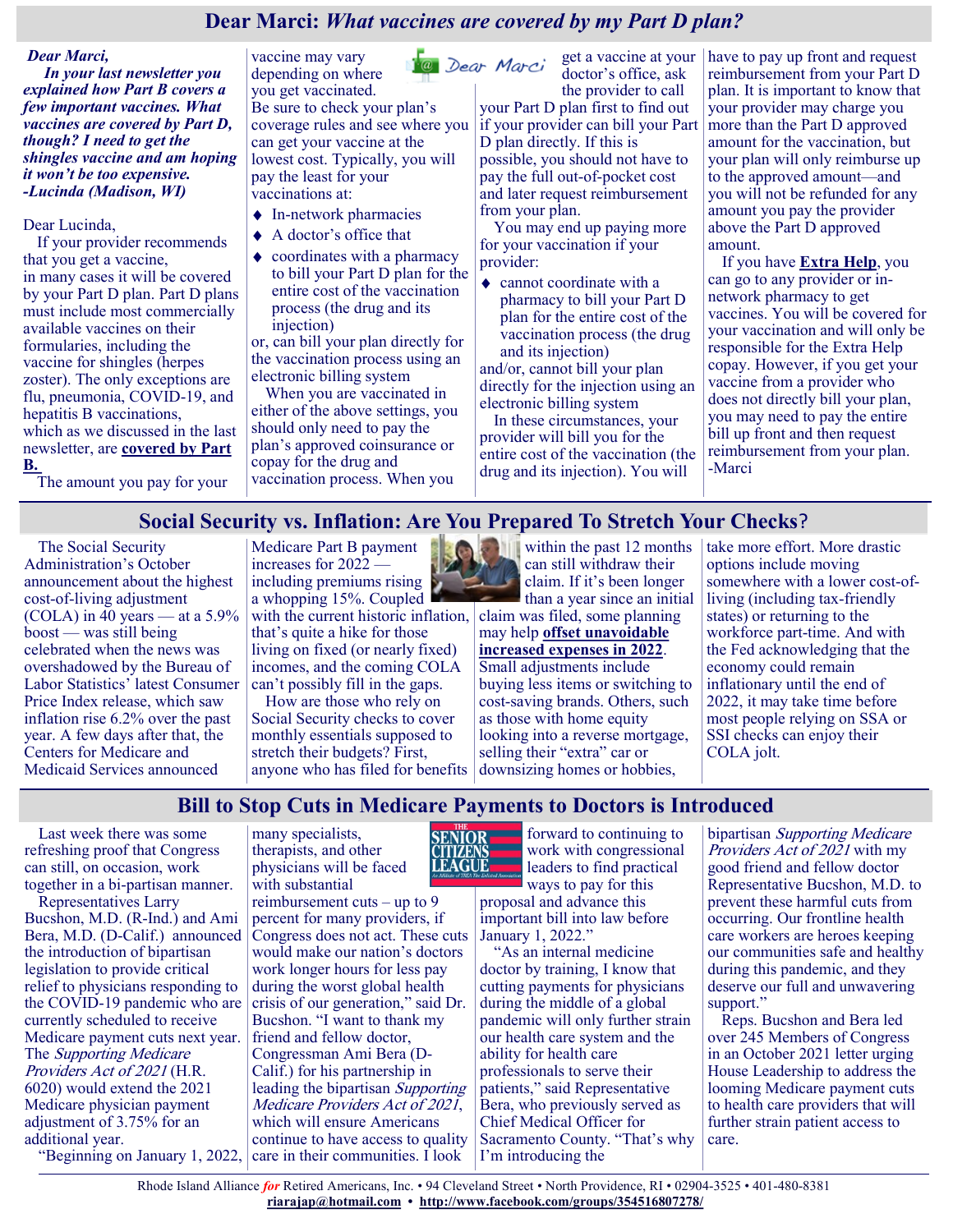# **Dear Marci:** *What vaccines are covered by my Part D plan?*

### *Dear Marci,*

*In your last newsletter you explained how Part B covers a few important vaccines. What vaccines are covered by Part D, though? I need to get the shingles vaccine and am hoping it won't be too expensive. -Lucinda (Madison, WI)*

Dear Lucinda,

If your provider recommends that you get a vaccine, in many cases it will be covered by your Part D plan. Part D plans must include most commercially available vaccines on their formularies, including the vaccine for shingles (herpes zoster). The only exceptions are flu, pneumonia, COVID-19, and hepatitis B vaccinations, which as we discussed in the last newsletter, are **[covered by Part](https://medicarerights.us15.list-manage.com/track/click?u=1621f54a596f3717c22815356&id=33823da7c0&e=88d22ba1fe)  [B.](https://medicarerights.us15.list-manage.com/track/click?u=1621f54a596f3717c22815356&id=33823da7c0&e=88d22ba1fe)**

The amount you pay for your

vaccine may vary depending on where you get vaccinated. Be sure to check your plan's coverage rules and see where you can get your vaccine at the lowest cost. Typically, you will pay the least for your vaccinations at:

- ◆ In-network pharmacies
- A doctor's office that
- coordinates with a pharmacy to bill your Part D plan for the entire cost of the vaccination process (the drug and its injection)

or, can bill your plan directly for the vaccination process using an electronic billing system

When you are vaccinated in either of the above settings, you should only need to pay the plan's approved coinsurance or copay for the drug and vaccination process. When you

get a vaccine at your 1@ Dear Marci doctor's office, ask the provider to call your Part D plan first to find out if your provider can bill your Part D plan directly. If this is possible, you should not have to pay the full out-of-pocket cost and later request reimbursement from your plan.

You may end up paying more for your vaccination if your provider:

◆ cannot coordinate with a pharmacy to bill your Part D plan for the entire cost of the vaccination process (the drug and its injection)

and/or, cannot bill your plan directly for the injection using an electronic billing system

In these circumstances, your provider will bill you for the entire cost of the vaccination (the drug and its injection). You will

have to pay up front and request reimbursement from your Part D plan. It is important to know that your provider may charge you more than the Part D approved amount for the vaccination, but your plan will only reimburse up to the approved amount—and you will not be refunded for any amount you pay the provider above the Part D approved amount.

If you have **[Extra Help](https://medicarerights.us15.list-manage.com/track/click?u=1621f54a596f3717c22815356&id=6e61721a16&e=88d22ba1fe)**, you can go to any provider or innetwork pharmacy to get vaccines. You will be covered for your vaccination and will only be responsible for the Extra Help copay. However, if you get your vaccine from a provider who does not directly bill your plan, you may need to pay the entire bill up front and then request reimbursement from your plan. -Marci

# **Social Security vs. Inflation: Are You Prepared To Stretch Your Checks**?

The Social Security Administration's October announcement about the highest cost-of-living adjustment (COLA) in 40 years — at a 5.9% boost — was still being celebrated when the news was overshadowed by the Bureau of Labor Statistics' latest Consumer Price Index release, which saw inflation rise 6.2% over the past year. A few days after that, the Centers for Medicare and Medicaid Services announced

Medicare Part B payment increases for 2022 including premiums rising a whopping 15%. Coupled with the current historic inflation, that's quite a hike for those living on fixed (or nearly fixed) incomes, and the coming COLA can't possibly fill in the gaps.

How are those who rely on Social Security checks to cover monthly essentials supposed to stretch their budgets? First, anyone who has filed for benefits



claim was filed, some planning may help **[offset unavoidable](https://www.gobankingrates.com/retirement/social-security/poll-how-will-you-offset-inflation-against-social-security/?utm_campaign=1148250&utm_source=msn.com&utm_content=3&utm_medium=rss)  [increased expenses in 2022](https://www.gobankingrates.com/retirement/social-security/poll-how-will-you-offset-inflation-against-social-security/?utm_campaign=1148250&utm_source=msn.com&utm_content=3&utm_medium=rss)**. Small adjustments include buying less items or switching to cost-saving brands. Others, such as those with home equity looking into a reverse mortgage, selling their "extra" car or downsizing homes or hobbies,

take more effort. More drastic options include moving somewhere with a lower cost-ofliving (including tax-friendly states) or returning to the workforce part-time. And with the Fed acknowledging that the economy could remain inflationary until the end of 2022, it may take time before most people relying on SSA or SSI checks can enjoy their COLA jolt.

# **Bill to Stop Cuts in Medicare Payments to Doctors is Introduced**

Last week there was some refreshing proof that Congress can still, on occasion, work together in a bi-partisan manner.

Representatives Larry Bucshon, M.D. (R-Ind.) and Ami Bera, M.D. (D-Calif.) announced the introduction of bipartisan legislation to provide critical relief to physicians responding to the COVID-19 pandemic who are currently scheduled to receive Medicare payment cuts next year. The Supporting Medicare Providers Act of 2021 (H.R. 6020) would extend the 2021 Medicare physician payment adjustment of 3.75% for an additional year.

many specialists, therapists, and other physicians will be faced with substantial

"Beginning on January 1, 2022, care in their communities. I look reimbursement cuts – up to 9 percent for many providers, if Congress does not act. These cuts would make our nation's doctors work longer hours for less pay during the worst global health crisis of our generation," said Dr. Bucshon. "I want to thank my friend and fellow doctor, Congressman Ami Bera (D-Calif.) for his partnership in leading the bipartisan Supporting Medicare Providers Act of 2021, which will ensure Americans continue to have access to quality



**SENIOR** forward to continuing to work with congressional leaders to find practical ways to pay for this

> proposal and advance this important bill into law before January 1, 2022."

"As an internal medicine doctor by training, I know that cutting payments for physicians during the middle of a global pandemic will only further strain our health care system and the ability for health care professionals to serve their patients," said Representative Bera, who previously served as Chief Medical Officer for Sacramento County. "That's why I'm introducing the

bipartisan Supporting Medicare Providers Act of 2021 with my good friend and fellow doctor Representative Bucshon, M.D. to prevent these harmful cuts from occurring. Our frontline health care workers are heroes keeping our communities safe and healthy during this pandemic, and they deserve our full and unwavering support."

Reps. Bucshon and Bera led over 245 Members of Congress in an October 2021 letter urging House Leadership to address the looming Medicare payment cuts to health care providers that will further strain patient access to care.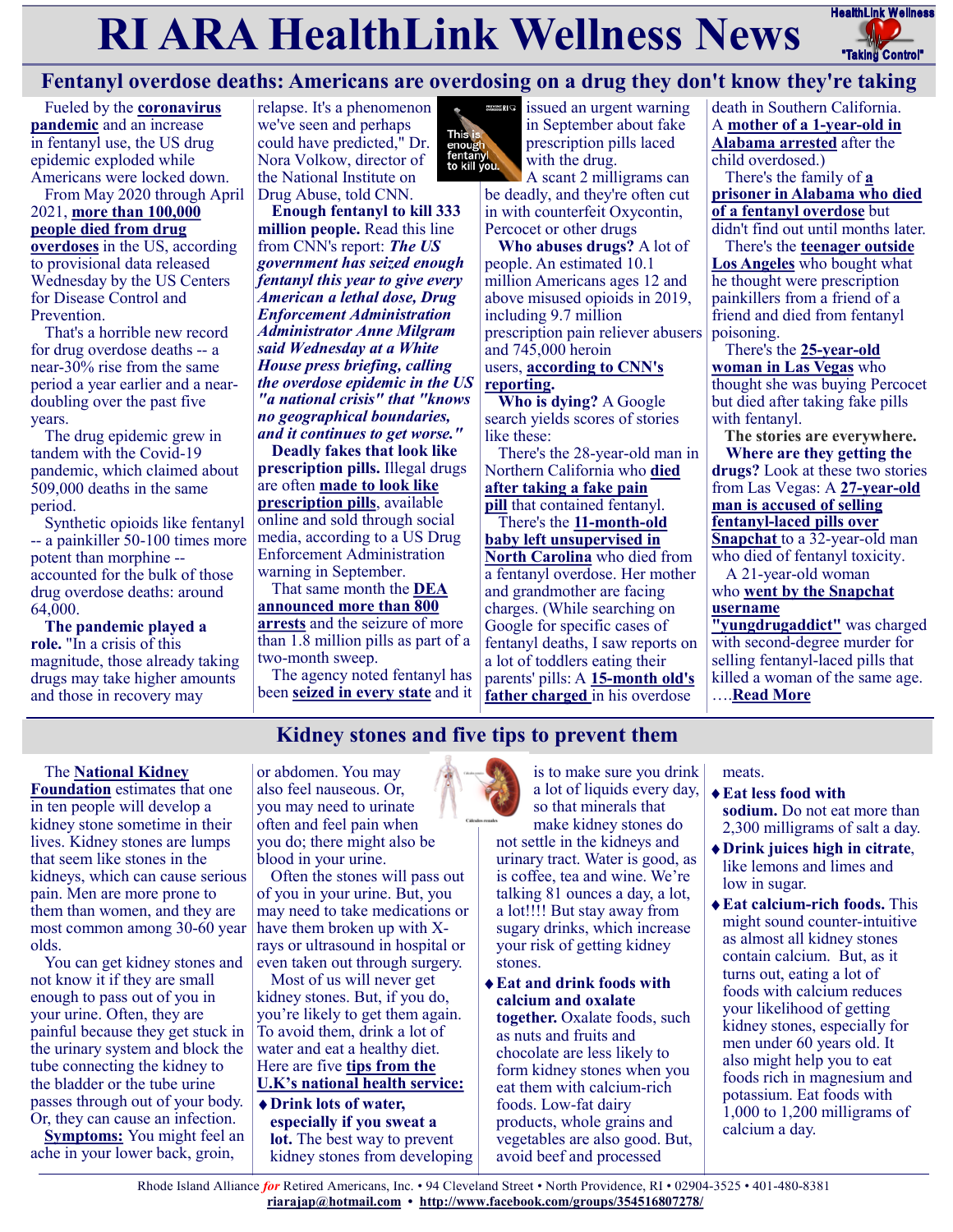# **RI ARA HealthLink Wellness News** Fractific Link Wellness



# **Fentanyl overdose deaths: Americans are overdosing on a drug they don't know they're taking**

Fueled by the **[coronavirus](https://www.cnn.com/specials/world/coronavirus-outbreak-intl-hnk)  [pandemic](https://www.cnn.com/specials/world/coronavirus-outbreak-intl-hnk)** and an increase in [fentanyl](https://www.cnn.com/2016/05/10/health/fentanyl-opioid-explainer/index.html) use, the US drug epidemic exploded while Americans were locked down.

From May 2020 through April 2021, **[more than 100,000](https://www.cnn.com/2021/11/17/health/drug-overdose-deaths-record-high/index.html)** 

# **[people died from drug](https://www.cnn.com/2021/11/17/health/drug-overdose-deaths-record-high/index.html)**

**[overdoses](https://www.cnn.com/2021/11/17/health/drug-overdose-deaths-record-high/index.html)** in the US, according to provisional data released Wednesday by the US Centers for Disease Control and Prevention.

That's a horrible new record for drug overdose deaths -- a near-30% rise from the same period a year earlier and a neardoubling over the past five years.

The drug epidemic grew in tandem with the Covid-19 pandemic, which claimed about 509,000 deaths in the same period.

Synthetic opioids like fentanyl -- a painkiller 50-100 times more potent than morphine - accounted for the bulk of those drug overdose deaths: around 64,000.

**The pandemic played a role.** "In a crisis of this magnitude, those already taking drugs may take higher amounts and those in recovery may

relapse. It's a phenomenon we've seen and perhaps could have predicted," Dr. Nora Volkow, director of the National Institute on Drug Abuse, told CNN.

**Enough fentanyl to kill 333 million people.** Read this line from CNN's report: *The US government has seized enough fentanyl this year to give every American a lethal dose, Drug Enforcement Administration Administrator Anne Milgram said Wednesday at a White House press briefing, calling the overdose epidemic in the US "a national crisis" that "knows no geographical boundaries, and it continues to get worse."*

**Deadly fakes that look like prescription pills.** Illegal drugs are often **[made to look like](https://www.cnn.com/2021/09/28/health/dea-fake-pills-warning-fentanyl-meth/index.html)  [prescription pills](https://www.cnn.com/2021/09/28/health/dea-fake-pills-warning-fentanyl-meth/index.html)**, available online and sold through social media, according to a US Drug Enforcement Administration warning in September.

That same month the **[DEA](https://www.cnn.com/2021/09/30/us/dea-fake-pills-sweep-800-arrests/index.html)  [announced more than 800](https://www.cnn.com/2021/09/30/us/dea-fake-pills-sweep-800-arrests/index.html)  [arrests](https://www.cnn.com/2021/09/30/us/dea-fake-pills-sweep-800-arrests/index.html)** and the seizure of more than 1.8 million pills as part of a two-month sweep.

The agency noted fentanyl has been **[seized in every state](https://www.dea.gov/press-releases/2021/09/27/dea-issues-public-safety-alert)** and it **EXERGENCE** issued an urgent warning in September about fake prescription pills laced with the drug.

A scant 2 milligrams can be deadly, and they're often cut in with counterfeit Oxycontin, Percocet or other drugs

**Who abuses drugs?** A lot of people. An estimated 10.1 million Americans ages 12 and above misused opioids in 2019, including 9.7 million prescription pain reliever abusers and 745,000 heroin

### users, **[according to CNN's](https://www.cnn.com/2017/09/18/health/opioid-crisis-fast-facts/index.html)  [reporting.](https://www.cnn.com/2017/09/18/health/opioid-crisis-fast-facts/index.html)**

**Who is dying?** A Google search yields scores of stories like these:

There's the 28-year-old man in Northern California who **[died](https://www.abc10.com/article/news/crime/calaveras-man-dead-fentanyl/103-dd9f9fcd-ee3c-41ea-870e-379319ed4bc3)  [after taking a fake pain](https://www.abc10.com/article/news/crime/calaveras-man-dead-fentanyl/103-dd9f9fcd-ee3c-41ea-870e-379319ed4bc3)  [pill](https://www.abc10.com/article/news/crime/calaveras-man-dead-fentanyl/103-dd9f9fcd-ee3c-41ea-870e-379319ed4bc3)** that contained fentanyl. There's the **11-[month](https://www.wbtv.com/2021/11/15/mother-grandmother-charged-after-11-month-old-baby-dies-fentanyl-overdose-chester-county/)-old [baby left unsupervised in](https://www.wbtv.com/2021/11/15/mother-grandmother-charged-after-11-month-old-baby-dies-fentanyl-overdose-chester-county/)  [North Carolina](https://www.wbtv.com/2021/11/15/mother-grandmother-charged-after-11-month-old-baby-dies-fentanyl-overdose-chester-county/)** who died from a fentanyl overdose. Her mother and grandmother are facing charges. (While searching on Google for specific cases of fentanyl deaths, I saw reports on a lot of toddlers eating their parents' pills: A **15-[month old's](https://kesq.com/news/crime/2021/11/15/father-of-15-month-old-toddler-who-died-of-a-fentanyl-overdose-charged-with-murder/)  [father charged](https://kesq.com/news/crime/2021/11/15/father-of-15-month-old-toddler-who-died-of-a-fentanyl-overdose-charged-with-murder/)** in his overdose

death in Southern California. A **[mother of a 1](https://www.cbs42.com/news/local/mother-arrested-after-1-year-old-overdoses-in-jefferson-county/)-year-old in [Alabama arrested](https://www.cbs42.com/news/local/mother-arrested-after-1-year-old-overdoses-in-jefferson-county/)** after the child overdosed.)

There's the family of **[a](https://mynbc15.com/news/local/family-of-prisoner-at-fountain-correctional-facility-not-told-about-his-death)  [prisoner in Alabama who died](https://mynbc15.com/news/local/family-of-prisoner-at-fountain-correctional-facility-not-told-about-his-death)  [of a fentanyl overdose](https://mynbc15.com/news/local/family-of-prisoner-at-fountain-correctional-facility-not-told-about-his-death)** but didn't find out until months later.

There's the **[teenager outside](https://www.nbclosangeles.com/news/local/apple-valley-mom-son-fentanyl-overdose/2760136/)  [Los Angeles](https://www.nbclosangeles.com/news/local/apple-valley-mom-son-fentanyl-overdose/2760136/)** who bought what he thought were prescription painkillers from a friend of a friend and died from fentanyl poisoning.

There's the **25-[year](https://www.8newsnow.com/i-team/i-team-fentanyl-killed-4-times-as-much-in-clark-county-over-the-past-few-years/)-old [woman in Las Vegas](https://www.8newsnow.com/i-team/i-team-fentanyl-killed-4-times-as-much-in-clark-county-over-the-past-few-years/)** who thought she was buying Percocet but died after taking fake pills with fentanyl.

**The stories are everywhere. Where are they getting the drugs?** Look at these two stories from Las Vegas: A **27-[year](https://www.8newsnow.com/news/local-news/suspected-snapchat-drug-dealer-charged-in-mans-fentanyl-overdose-death-las-vegas/)-old [man is accused of selling](https://www.8newsnow.com/news/local-news/suspected-snapchat-drug-dealer-charged-in-mans-fentanyl-overdose-death-las-vegas/)  fentanyl-[laced pills over](https://www.8newsnow.com/news/local-news/suspected-snapchat-drug-dealer-charged-in-mans-fentanyl-overdose-death-las-vegas/)  [Snapchat](https://www.8newsnow.com/news/local-news/suspected-snapchat-drug-dealer-charged-in-mans-fentanyl-overdose-death-las-vegas/)** to a 32-year-old man who died of fentanyl toxicity. A 21-year-old woman

who **[went by the Snapchat](https://www.8newsnow.com/news/i-team-woman-with-snapchat-username-yungdrugaddict-charged-in-21-year-olds-fentanyl-overdose-death/)  [username](https://www.8newsnow.com/news/i-team-woman-with-snapchat-username-yungdrugaddict-charged-in-21-year-olds-fentanyl-overdose-death/)** 

**["yungdrugaddict"](https://www.8newsnow.com/news/i-team-woman-with-snapchat-username-yungdrugaddict-charged-in-21-year-olds-fentanyl-overdose-death/)** was charged with second-degree murder for selling fentanyl-laced pills that killed a woman of the same age. ….**[Read More](https://www.msn.com/en-us/news/us/fentanyl-overdose-deaths-americans-are-overdosing-on-a-drug-they-dont-know-theyre-taking/ar-AAQPCZ2?li=BBnb7Kz&fbclid=IwAR3xUaMlUJoJ8GnTjHBRbQOAWl974ig9iYS4ZvuhGj5HaTKuWIS34gZeYrg)**

# **Kidney stones and five tips to prevent them**

### The **[National Kidney](https://www.kidney.org/atoz/content/kidneystones_prevent)**

**[Foundation](https://www.kidney.org/atoz/content/kidneystones_prevent)** estimates that one in ten people will develop a kidney stone sometime in their lives. Kidney stones are lumps that seem like stones in the kidneys, which can cause serious pain. Men are more prone to them than women, and they are most common among 30-60 year olds.

You can get kidney stones and not know it if they are small enough to pass out of you in your urine. Often, they are painful because they get stuck in the urinary system and block the tube connecting the kidney to the bladder or the tube urine passes through out of your body. Or, they can cause an infection.

**[Symptoms:](http://www.nhs.uk/Conditions/Kidney-stones/Pages/Symptoms.aspx)** You might feel an ache in your lower back, groin,

or abdomen. You may also feel nauseous. Or, you may need to urinate often and feel pain when you do; there might also be blood in your urine.

Often the stones will pass out of you in your urine. But, you may need to take medications or have them broken up with Xrays or ultrasound in hospital or even taken out through surgery.

Most of us will never get kidney stones. But, if you do, you're likely to get them again. To avoid them, drink a lot of water and eat a healthy diet. Here are five **[tips from the](http://www.nhs.uk/Conditions/Kidney-stones/Pages/Prevention.aspx)  [U.K's national health service:](http://www.nhs.uk/Conditions/Kidney-stones/Pages/Prevention.aspx)**

**Drink lots of water, especially if you sweat a lot.** The best way to prevent kidney stones from developing



is to make sure you drink a lot of liquids every day, so that minerals that

make kidney stones do not settle in the kidneys and urinary tract. Water is good, as is coffee, tea and wine. We're talking 81 ounces a day, a lot, a lot!!!! But stay away from sugary drinks, which increase your risk of getting kidney stones.

**Eat and drink foods with calcium and oxalate together.** Oxalate foods, such as nuts and fruits and chocolate are less likely to form kidney stones when you eat them with calcium-rich foods. Low-fat dairy products, whole grains and vegetables are also good. But, avoid beef and processed

# meats.

- **Eat less food with sodium.** Do not eat more than 2,300 milligrams of salt a day.
- **Drink juices high in citrate**, like lemons and limes and low in sugar.
- **Eat calcium-rich foods.** This might sound counter-intuitive as almost all kidney stones contain calcium. But, as it turns out, eating a lot of foods with calcium reduces your likelihood of getting kidney stones, especially for men under 60 years old. It also might help you to eat foods rich in magnesium and potassium. Eat foods with 1,000 to 1,200 milligrams of calcium a day.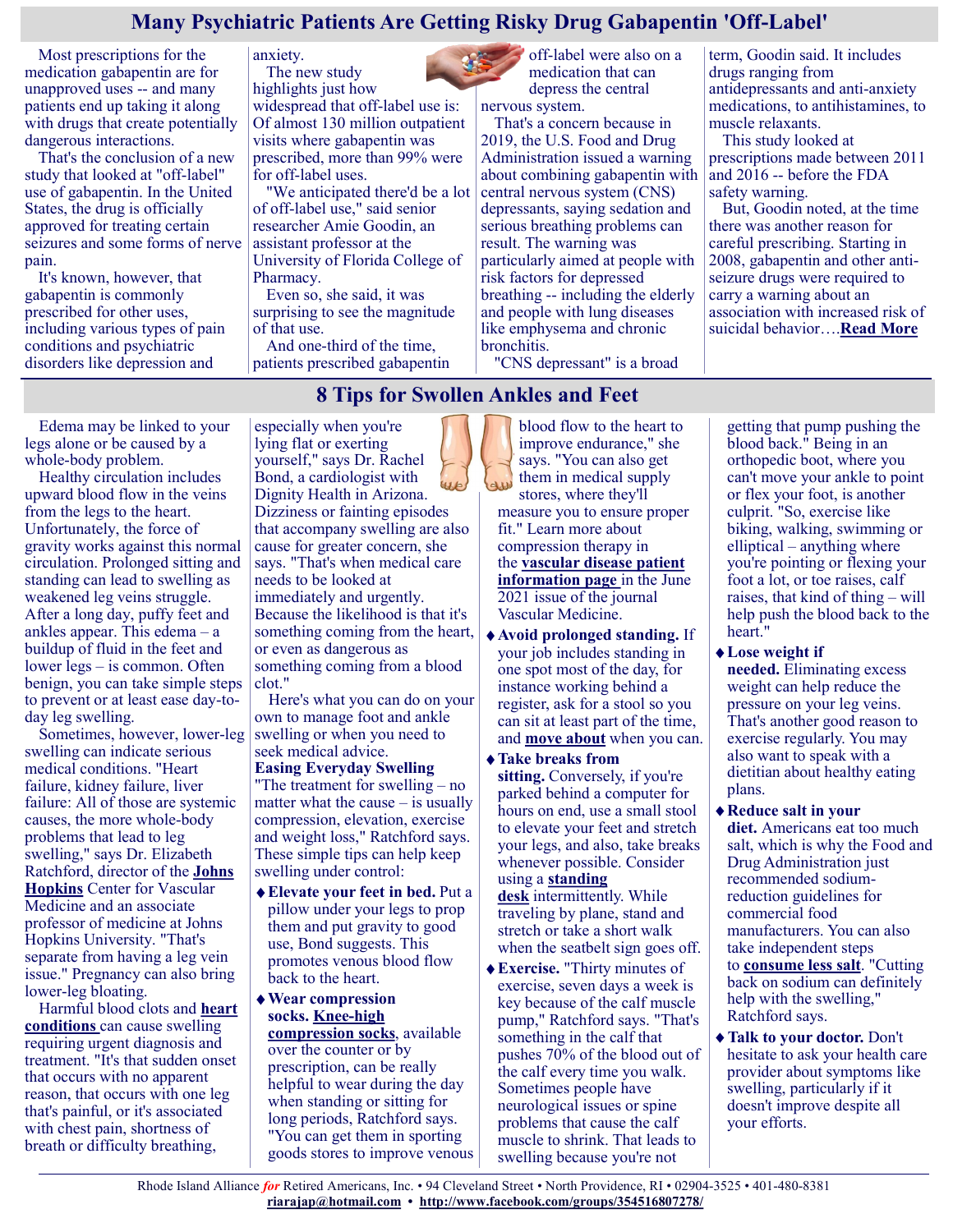# **Many Psychiatric Patients Are Getting Risky Drug Gabapentin 'Off-Label'**

Most prescriptions for the medication gabapentin are for unapproved uses -- and many patients end up taking it along with drugs that create potentially dangerous interactions.

That's the conclusion of a new study that looked at "off-label" use of gabapentin. In the United States, the drug is officially approved for treating certain seizures and some forms of nerve pain.

It's known, however, that gabapentin is commonly prescribed for other uses, including various types of pain conditions and psychiatric disorders like depression and

anxiety. The new study highlights just how widespread that off-label use is: Of almost 130 million outpatient visits where gabapentin was prescribed, more than 99% were for off-label uses.

"We anticipated there'd be a lot of off-label use," said senior researcher Amie Goodin, an assistant professor at the University of Florida College of Pharmacy.

Even so, she said, it was surprising to see the magnitude of that use.

And one-third of the time, patients prescribed gabapentin off-label were also on a medication that can depress the central

nervous system. That's a concern because in

2019, the U.S. Food and Drug Administration issued a warning about combining gabapentin with central nervous system (CNS) depressants, saying sedation and serious breathing problems can result. The warning was particularly aimed at people with risk factors for depressed breathing -- including the elderly and people with lung diseases like emphysema and chronic bronchitis.

"CNS depressant" is a broad

term, Goodin said. It includes drugs ranging from antidepressants and anti-anxiety medications, to antihistamines, to muscle relaxants.

This study looked at prescriptions made between 2011 and 2016 -- before the FDA safety warning.

But, Goodin noted, at the time there was another reason for careful prescribing. Starting in 2008, gabapentin and other antiseizure drugs were required to carry a warning about an association with increased risk of suicidal behavior….**[Read More](https://consumer.healthday.com/11-11-many-psychiatric-patients-are-getting-risky-drug-gabapentin-off-label-2655504825.html)**

# **8 Tips for Swollen Ankles and Feet**

Edema may be linked to your legs alone or be caused by a whole-body problem.

Healthy circulation includes upward blood flow in the veins from the legs to the heart. Unfortunately, the force of gravity works against this normal circulation. Prolonged sitting and standing can lead to swelling as weakened leg veins struggle. After a long day, puffy feet and ankles appear. This edema – a buildup of fluid in the feet and lower legs – is common. Often benign, you can take simple steps to prevent or at least ease day-today leg swelling.

Sometimes, however, lower-leg swelling can indicate serious medical conditions. "Heart failure, kidney failure, liver failure: All of those are systemic causes, the more whole-body problems that lead to leg swelling," says Dr. Elizabeth Ratchford, director of the **[Johns](https://health.usnews.com/best-hospitals/area/md/johns-hopkins-hospital-6320180)  [Hopkins](https://health.usnews.com/best-hospitals/area/md/johns-hopkins-hospital-6320180)** Center for Vascular Medicine and an associate professor of medicine at Johns Hopkins University. "That's separate from having a leg vein issue." Pregnancy can also bring lower-leg bloating.

Harmful blood clots and **[heart](https://health.usnews.com/conditions/heart-disease)  [conditions](https://health.usnews.com/conditions/heart-disease)** can cause swelling requiring urgent diagnosis and treatment. "It's that sudden onset that occurs with no apparent reason, that occurs with one leg that's painful, or it's associated with chest pain, shortness of breath or difficulty breathing,

especially when you're lying flat or exerting yourself," says Dr. Rachel Bond, a cardiologist with Dignity Health in Arizona. Dizziness or fainting episodes that accompany swelling are also cause for greater concern, she says. "That's when medical care needs to be looked at immediately and urgently. Because the likelihood is that it's something coming from the heart, or even as dangerous as something coming from a blood clot."

Here's what you can do on your own to manage foot and ankle swelling or when you need to seek medical advice.

**Easing Everyday Swelling** "The treatment for swelling – no matter what the cause – is usually compression, elevation, exercise and weight loss," Ratchford says. These simple tips can help keep swelling under control:

**Elevate your feet in bed.** Put a pillow under your legs to prop them and put gravity to good use, Bond suggests. This promotes venous blood flow back to the heart.

**Wear compression socks. [Knee](https://health.usnews.com/drugs/rankings/top-rec-support-hosiery)-high [compression socks](https://health.usnews.com/drugs/rankings/top-rec-support-hosiery)**, available over the counter or by prescription, can be really helpful to wear during the day when standing or sitting for long periods, Ratchford says. "You can get them in sporting goods stores to improve venous

blood flow to the heart to improve endurance," she says. "You can also get them in medical supply stores, where they'll measure you to ensure proper fit." Learn more about compression therapy in the **[vascular disease patient](https://journals.sagepub.com/doi/pdf/10.1177/1358863X211002263)  [information page](https://journals.sagepub.com/doi/pdf/10.1177/1358863X211002263)** in the June 2021 issue of the journal Vascular Medicine.

**Avoid prolonged standing.** If your job includes standing in one spot most of the day, for instance working behind a register, ask for a stool so you can sit at least part of the time, and **[move about](https://health.usnews.com/health-news/blogs/eat-run/articles/tips-for-being-active-during-work)** when you can.

**Take breaks from sitting.** Conversely, if you're parked behind a computer for hours on end, use a small stool to elevate your feet and stretch your legs, and also, take breaks whenever possible. Consider using a **[standing](https://health.usnews.com/wellness/articles/the-benefits-of-using-a-standing-desk)** 

**[desk](https://health.usnews.com/wellness/articles/the-benefits-of-using-a-standing-desk)** intermittently. While traveling by plane, stand and stretch or take a short walk when the seatbelt sign goes off.

**Exercise.** "Thirty minutes of exercise, seven days a week is key because of the calf muscle pump," Ratchford says. "That's something in the calf that pushes 70% of the blood out of the calf every time you walk. Sometimes people have neurological issues or spine problems that cause the calf muscle to shrink. That leads to swelling because you're not

getting that pump pushing the blood back." Being in an orthopedic boot, where you can't move your ankle to point or flex your foot, is another culprit. "So, exercise like biking, walking, swimming or elliptical – anything where you're pointing or flexing your foot a lot, or toe raises, calf raises, that kind of thing – will help push the blood back to the heart."

- **Lose weight if needed.** Eliminating excess weight can help reduce the pressure on your leg veins. That's another good reason to exercise regularly. You may also want to speak with a dietitian about healthy eating plans.
- **Reduce salt in your diet.** Americans eat too much salt, which is why the Food and Drug Administration just recommended sodiumreduction guidelines for commercial food manufacturers. You can also take independent steps to **[consume less salt](https://health.usnews.com/wellness/food/articles/how-to-reduce-salt-intake)**. "Cutting back on sodium can definitely help with the swelling," Ratchford says.
- **Talk to your doctor.** Don't hesitate to ask your health care provider about symptoms like swelling, particularly if it doesn't improve despite all your efforts.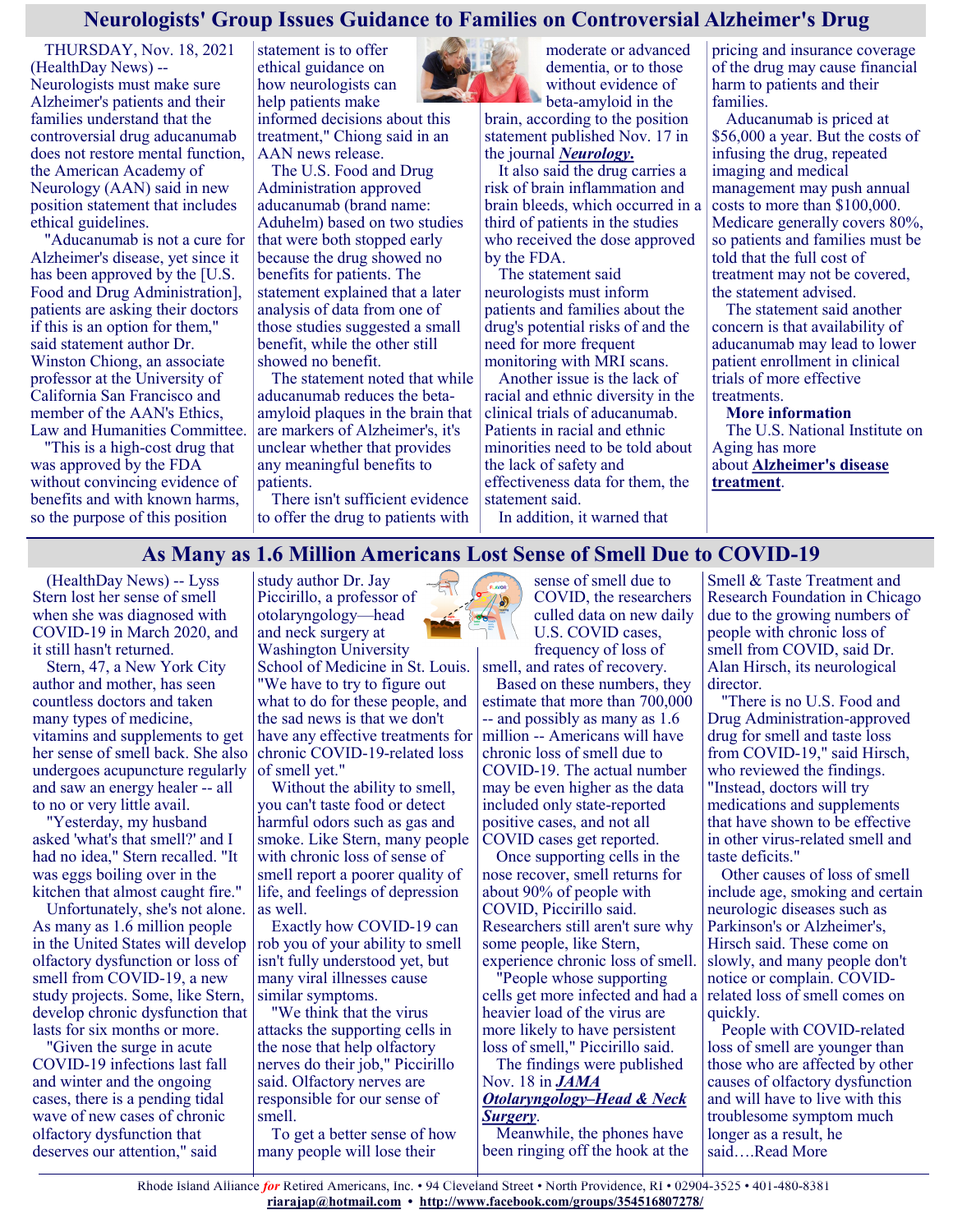# **Neurologists' Group Issues Guidance to Families on Controversial Alzheimer's Drug**

THURSDAY, Nov. 18, 2021 (HealthDay News) -- Neurologists must make sure Alzheimer's patients and their families understand that the controversial drug aducanumab does not restore mental function, the American Academy of Neurology (AAN) said in new position statement that includes ethical guidelines.

"Aducanumab is not a cure for Alzheimer's disease, yet since it has been approved by the [U.S. Food and Drug Administration], patients are asking their doctors if this is an option for them," said statement author Dr. Winston Chiong, an associate professor at the University of California San Francisco and member of the AAN's Ethics, Law and Humanities Committee.

"This is a high-cost drug that was approved by the FDA without convincing evidence of benefits and with known harms, so the purpose of this position

statement is to offer ethical guidance on how neurologists can help patients make informed decisions about this treatment," Chiong said in an AAN news release.

The U.S. Food and Drug Administration approved aducanumab (brand name: Aduhelm) based on two studies that were both stopped early because the drug showed no benefits for patients. The statement explained that a later analysis of data from one of those studies suggested a small benefit, while the other still showed no benefit.

The statement noted that while aducanumab reduces the betaamyloid plaques in the brain that are markers of Alzheimer's, it's unclear whether that provides any meaningful benefits to patients.

There isn't sufficient evidence to offer the drug to patients with



moderate or advanced dementia, or to those without evidence of beta-amyloid in the

brain, according to the position statement published Nov. 17 in the journal *[Neurology](https://n.neurology.org/content/neurology/early/2021/11/17/WNL.0000000000013053.full.pdf)***.**

It also said the drug carries a risk of brain inflammation and brain bleeds, which occurred in a third of patients in the studies who received the dose approved by the FDA.

The statement said neurologists must inform patients and families about the drug's potential risks of and the need for more frequent monitoring with MRI scans.

Another issue is the lack of racial and ethnic diversity in the clinical trials of aducanumab. Patients in racial and ethnic minorities need to be told about the lack of safety and effectiveness data for them, the statement said. In addition, it warned that

pricing and insurance coverage of the drug may cause financial harm to patients and their families.

Aducanumab is priced at \$56,000 a year. But the costs of infusing the drug, repeated imaging and medical management may push annual costs to more than \$100,000. Medicare generally covers 80%, so patients and families must be told that the full cost of treatment may not be covered, the statement advised.

The statement said another concern is that availability of aducanumab may lead to lower patient enrollment in clinical trials of more effective treatments.

**More information** The U.S. National Institute on Aging has more about **[Alzheimer's disease](https://www.nia.nih.gov/health/alzheimers/treatment)  [treatment](https://www.nia.nih.gov/health/alzheimers/treatment)**.

# **As Many as 1.6 Million Americans Lost Sense of Smell Due to COVID-19**

(HealthDay News) -- Lyss Stern lost her sense of smell when she was diagnosed with COVID-19 in March 2020, and it still hasn't returned.

Stern, 47, a New York City author and mother, has seen countless doctors and taken many types of medicine, vitamins and supplements to get her sense of smell back. She also undergoes acupuncture regularly and saw an energy healer -- all to no or very little avail.

"Yesterday, my husband asked 'what's that smell?' and I had no idea," Stern recalled. "It was eggs boiling over in the kitchen that almost caught fire."

Unfortunately, she's not alone. As many as 1.6 million people in the United States will develop olfactory dysfunction or loss of smell from COVID-19, a new study projects. Some, like Stern, develop chronic dysfunction that lasts for six months or more.

"Given the surge in acute COVID-19 infections last fall and winter and the ongoing cases, there is a pending tidal wave of new cases of chronic olfactory dysfunction that deserves our attention," said

study author Dr. Jay Piccirillo, a professor of otolaryngology—head and neck surgery at Washington University

School of Medicine in St. Louis. "We have to try to figure out what to do for these people, and the sad news is that we don't have any effective treatments for chronic COVID-19-related loss of smell yet."

Without the ability to smell, you can't taste food or detect harmful odors such as gas and smoke. Like Stern, many people with chronic loss of sense of smell report a poorer quality of life, and feelings of depression as well.

Exactly how COVID-19 can rob you of your ability to smell isn't fully understood yet, but many viral illnesses cause similar symptoms.

"We think that the virus attacks the supporting cells in the nose that help olfactory nerves do their job," Piccirillo said. Olfactory nerves are responsible for our sense of smell.

To get a better sense of how many people will lose their



COVID, the researchers culled data on new daily U.S. COVID cases, frequency of loss of

sense of smell due to

smell, and rates of recovery. Based on these numbers, they

estimate that more than 700,000 -- and possibly as many as 1.6 million -- Americans will have chronic loss of smell due to COVID-19. The actual number may be even higher as the data included only state-reported positive cases, and not all COVID cases get reported.

Once supporting cells in the nose recover, smell returns for about 90% of people with COVID, Piccirillo said. Researchers still aren't sure why some people, like Stern, experience chronic loss of smell.

"People whose supporting cells get more infected and had a heavier load of the virus are more likely to have persistent loss of smell," Piccirillo said.

The findings were published Nov. 18 in *[JAMA](https://jamanetwork.com/journals/jamaotolaryngology/fullarticle/2786433?resultClick=3)  [Otolaryngology–Head & Neck](https://jamanetwork.com/journals/jamaotolaryngology/fullarticle/2786433?resultClick=3)  [Surgery](https://jamanetwork.com/journals/jamaotolaryngology/fullarticle/2786433?resultClick=3)*.

Meanwhile, the phones have been ringing off the hook at the Smell & Taste Treatment and Research Foundation in Chicago due to the growing numbers of people with chronic loss of smell from COVID, said Dr. Alan Hirsch, its neurological director.

"There is no U.S. Food and Drug Administration-approved drug for smell and taste loss from COVID-19," said Hirsch, who reviewed the findings. "Instead, doctors will try medications and supplements that have shown to be effective in other virus-related smell and taste deficits."

Other causes of loss of smell include age, smoking and certain neurologic diseases such as Parkinson's or Alzheimer's, Hirsch said. These come on slowly, and many people don't notice or complain. COVIDrelated loss of smell comes on quickly.

People with COVID-related loss of smell are younger than those who are affected by other causes of olfactory dysfunction and will have to live with this troublesome symptom much longer as a result, he said **Read More**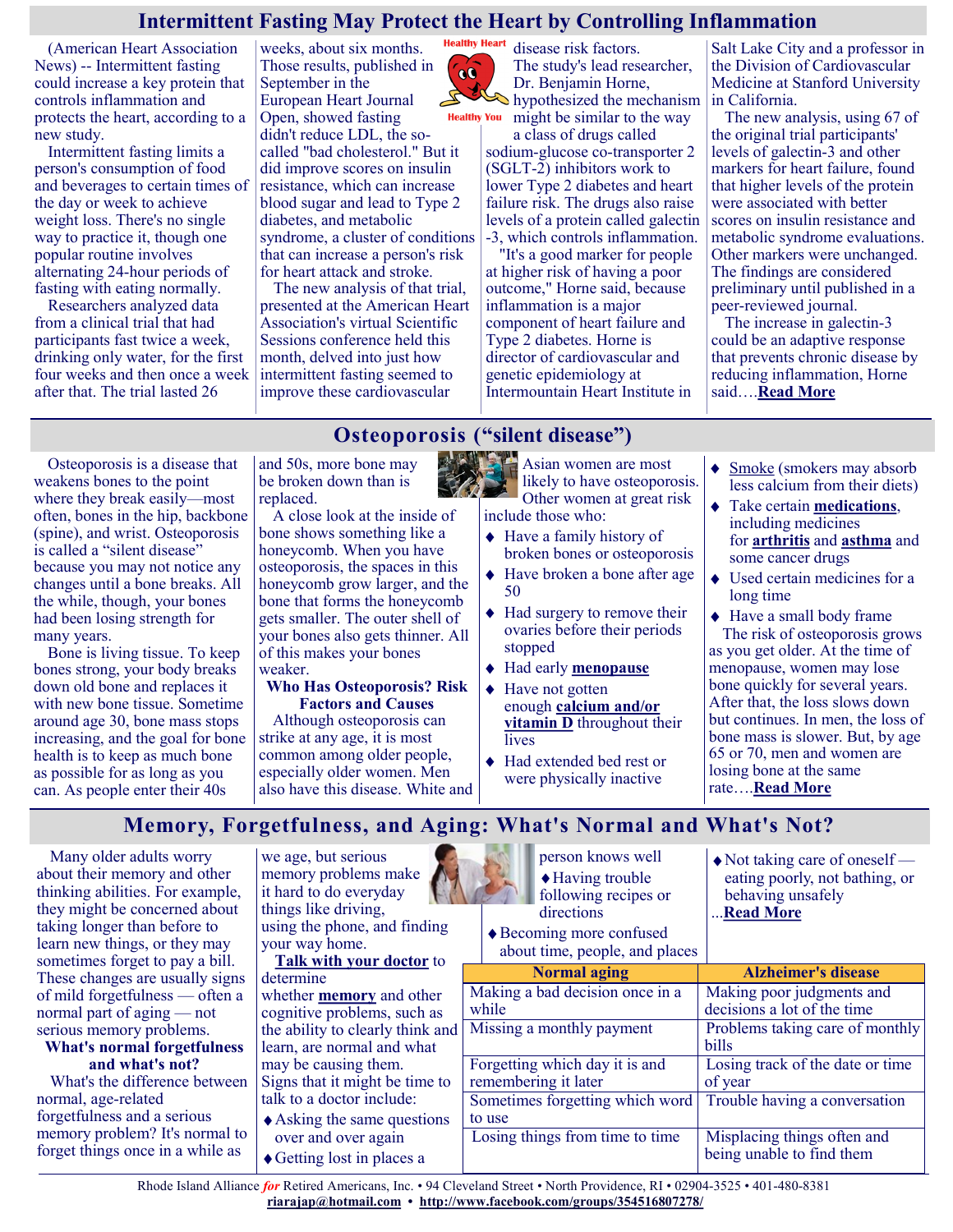# **Intermittent Fasting May Protect the Heart by Controlling Inflammation**

(American Heart Association News) -- Intermittent fasting could increase a key protein that controls inflammation and protects the heart, according to a new study.

Intermittent fasting limits a person's consumption of food and beverages to certain times of the day or week to achieve weight loss. There's no single way to practice it, though one popular routine involves alternating 24-hour periods of fasting with eating normally.

Researchers analyzed data from a clinical trial that had participants fast twice a week, drinking only water, for the first four weeks and then once a week after that. The trial lasted 26

**Healthy Heart** weeks, about six months. Those results, published in September in the European Heart Journal Open, showed fasting didn't reduce LDL, the socalled "bad cholesterol." But it did improve scores on insulin resistance, which can increase blood sugar and lead to Type 2 diabetes, and metabolic syndrome, a cluster of conditions that can increase a person's risk for heart attack and stroke.

The new analysis of that trial, presented at the American Heart Association's virtual Scientific Sessions conference held this month, delved into just how intermittent fasting seemed to improve these cardiovascular



disease risk factors. The study's lead researcher, Dr. Benjamin Horne, hypothesized the mechanism

Healthy You might be similar to the way a class of drugs called

sodium-glucose co-transporter 2 (SGLT-2) inhibitors work to lower Type 2 diabetes and heart failure risk. The drugs also raise levels of a protein called galectin -3, which controls inflammation.

"It's a good marker for people at higher risk of having a poor outcome," Horne said, because inflammation is a major component of heart failure and Type 2 diabetes. Horne is director of cardiovascular and genetic epidemiology at Intermountain Heart Institute in

Salt Lake City and a professor in the Division of Cardiovascular Medicine at Stanford University in California.

The new analysis, using 67 of the original trial participants' levels of galectin-3 and other markers for heart failure, found that higher levels of the protein were associated with better scores on insulin resistance and metabolic syndrome evaluations. Other markers were unchanged. The findings are considered preliminary until published in a peer-reviewed journal.

The increase in galectin-3 could be an adaptive response that prevents chronic disease by reducing inflammation, Horne said….**[Read More](https://consumer.healthday.com/aha-news-intermittent-fasting-may-protect-the-heart-by-controlling-inflammation-2655758801.html)**

# **Osteoporosis ("silent disease")**

Osteoporosis is a disease that weakens bones to the point where they break easily—most often, bones in the hip, backbone (spine), and wrist. Osteoporosis is called a "silent disease" because you may not notice any changes until a bone breaks. All the while, though, your bones had been losing strength for many years.

Bone is living tissue. To keep bones strong, your body breaks down old bone and replaces it with new bone tissue. Sometime around age 30, bone mass stops increasing, and the goal for bone health is to keep as much bone as possible for as long as you can. As people enter their 40s

and 50s, more bone may be broken down than is replaced.

A close look at the inside of bone shows something like a honeycomb. When you have osteoporosis, the spaces in this honeycomb grow larger, and the bone that forms the honeycomb gets smaller. The outer shell of your bones also gets thinner. All of this makes your bones weaker.

### **Who Has Osteoporosis? Risk Factors and Causes**

Although osteoporosis can strike at any age, it is most common among older people, especially older women. Men also have this disease. White and

Asian women are most likely to have osteoporosis. Other women at great risk include those who:

- $\triangleleft$  Have a family history of broken bones or osteoporosis
- ◆ Have broken a bone after age 50
- ◆ Had surgery to remove their ovaries before their periods stopped
- Had early **[menopause](https://www.nia.nih.gov/health/what-menopause)**
- ◆ Have not gotten enough **[calcium and/or](https://www.nia.nih.gov/health/vitamins-and-minerals)  [vitamin D](https://www.nia.nih.gov/health/vitamins-and-minerals)** throughout their
- lives Had extended bed rest or were physically inactive
- [Smoke](https://www.nia.nih.gov/health/smoking) (smokers may absorb less calcium from their diets)
- Take certain **[medications](https://www.nia.nih.gov/health/safe-use-medicines-older-adults)**, including medicines for **[arthritis](https://www.nia.nih.gov/health/osteoarthritis)** and **[asthma](https://www.niams.nih.gov/Health_Info/Bone/Osteoporosis/Conditions_Behaviors/asthma.asp)** and some cancer drugs
- Used certain medicines for a long time
- ◆ Have a small body frame The risk of osteoporosis grows as you get older. At the time of menopause, women may lose bone quickly for several years. After that, the loss slows down but continues. In men, the loss of bone mass is slower. But, by age 65 or 70, men and women are losing bone at the same rate….**[Read More](https://www.nia.nih.gov/health/osteoporosis)**

Not taking care of oneself eating poorly, not bathing, or

behaving unsafely ...**[Read More](https://www.nia.nih.gov/health/memory-forgetfulness-and-aging-whats-normal-and-whats-not)**

# **Memory, Forgetfulness, and Aging: What's Normal and What's Not?**

Many older adults worry about their memory and other thinking abilities. For example, they might be concerned about taking longer than before to learn new things, or they may sometimes forget to pay a bill. These changes are usually signs of mild forgetfulness — often a normal part of aging — not serious memory problems.

**What's normal forgetfulness and what's not?**

What's the difference between normal, age-related forgetfulness and a serious memory problem? It's normal to forget things once in a while as

we age, but serious memory problems make it hard to do everyday things like driving, using the phone, and finding your way home.

**[Talk with your doctor](https://www.nia.nih.gov/health/how-talk-your-doctor-about-sensitive-issues)** determine

whether **[memory](https://www.nia.nih.gov/health/do-memory-problems-always-mean-alzheimers-disease)** and othercognitive problems, such the ability to clearly think learn, are normal and what may be causing them. Signs that it might be time talk to a doctor include: Asking the same questions

over and over again Getting lost in places a

| ing              |                                                      |                                     | person kn<br>$\blacklozenge$ Having<br>following<br>directions |
|------------------|------------------------------------------------------|-------------------------------------|----------------------------------------------------------------|
| to               |                                                      | ◆ Becoming more<br>about time, peop |                                                                |
| <b>Normal</b> ag |                                                      |                                     |                                                                |
| er<br>as         | Making a bad decisio<br>while<br>Missing a monthly p |                                     |                                                                |
| and<br>ıt        |                                                      |                                     |                                                                |
|                  | Forgetting which day                                 |                                     |                                                                |
| e to             | remembering it later                                 |                                     |                                                                |
|                  | Sometimes forgetting                                 |                                     |                                                                |
| anc              | to use                                               |                                     |                                                                |

ows well trouble recipes or

confused ple, and places

| <b>Normal aging</b>             | <b>Alzheimer's disease</b>       |
|---------------------------------|----------------------------------|
| Making a bad decision once in a | Making poor judgments and        |
| while                           | decisions a lot of the time      |
| Missing a monthly payment       | Problems taking care of monthly  |
|                                 | <b>bills</b>                     |
| Forgetting which day it is and  | Losing track of the date or time |
| remembering it later            | of year                          |
| Sometimes forgetting which word | Trouble having a conversation    |
| to use                          |                                  |
| Losing things from time to time | Misplacing things often and      |
|                                 | being unable to find them        |
|                                 |                                  |